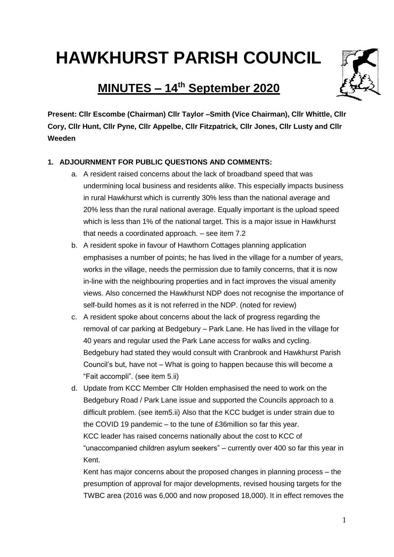# **HAWKHURST PARISH COUNCIL**

# **MINUTES – 14 th September 2020**



**Present: Cllr Escombe (Chairman) Cllr Taylor –Smith (Vice Chairman), Cllr Whittle, Cllr Cory, Cllr Hunt, Cllr Pyne, Cllr Appelbe, Cllr Fitzpatrick, Cllr Jones, Cllr Lusty and Cllr Weeden**

# **1. ADJOURNMENT FOR PUBLIC QUESTIONS AND COMMENTS:**

- a. A resident raised concerns about the lack of broadband speed that was undermining local business and residents alike. This especially impacts business in rural Hawkhurst which is currently 30% less than the national average and 20% less than the rural national average. Equally important is the upload speed which is less than 1% of the national target. This is a major issue in Hawkhurst that needs a coordinated approach. – see item 7.2
- b. A resident spoke in favour of Hawthorn Cottages planning application emphasises a number of points; he has lived in the village for a number of years, works in the village, needs the permission due to family concerns, that it is now in-line with the neighbouring properties and in fact improves the visual amenity views. Also concerned the Hawkhurst NDP does not recognise the importance of self-build homes as it is not referred in the NDP. (noted for review)
- c. A resident spoke about concerns about the lack of progress regarding the removal of car parking at Bedgebury – Park Lane. He has lived in the village for 40 years and regular used the Park Lane access for walks and cycling. Bedgebury had stated they would consult with Cranbrook and Hawkhurst Parish Council's but, have not – What is going to happen because this will become a "Fait accompli". (see item 5.ii)
- d. Update from KCC Member Cllr Holden emphasised the need to work on the Bedgebury Road / Park Lane issue and supported the Councils approach to a difficult problem. (see item5.ii) Also that the KCC budget is under strain due to the COVID 19 pandemic – to the tune of £36million so far this year. KCC leader has raised concerns nationally about the cost to KCC of "unaccompanied children asylum seekers" – currently over 400 so far this year in Kent.

Kent has major concerns about the proposed changes in planning process – the presumption of approval for major developments, revised housing targets for the TWBC area (2016 was 6,000 and now proposed 18,000). It in effect removes the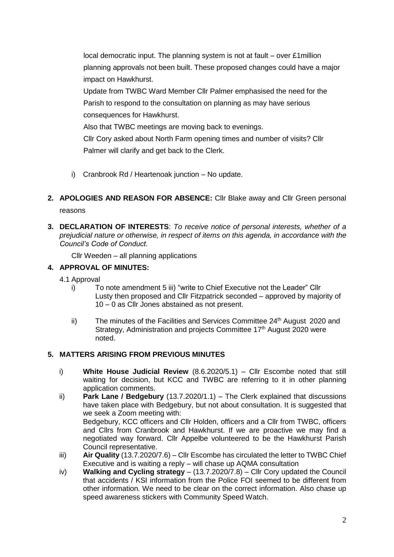local democratic input. The planning system is not at fault – over £1million planning approvals not been built. These proposed changes could have a major impact on Hawkhurst.

Update from TWBC Ward Member Cllr Palmer emphasised the need for the Parish to respond to the consultation on planning as may have serious consequences for Hawkhurst.

Also that TWBC meetings are moving back to evenings.

Cllr Cory asked about North Farm opening times and number of visits? Cllr Palmer will clarify and get back to the Clerk.

- i) Cranbrook Rd / Heartenoak junction No update.
- **2. APOLOGIES AND REASON FOR ABSENCE:** Cllr Blake away and Cllr Green personal reasons
- **3. DECLARATION OF INTERESTS**: *To receive notice of personal interests, whether of a prejudicial nature or otherwise, in respect of items on this agenda, in accordance with the Council's Code of Conduct.*

Cllr Weeden – all planning applications

# **4. APPROVAL OF MINUTES:**

4.1 Approval

- i) To note amendment 5 iii) "write to Chief Executive not the Leader" Cllr Lusty then proposed and Cllr Fitzpatrick seconded – approved by majority of 10 – 0 as Cllr Jones abstained as not present.
- ii) The minutes of the Facilities and Services Committee  $24<sup>th</sup>$  August 2020 and Strategy, Administration and projects Committee  $17<sup>th</sup>$  August 2020 were noted.

# **5. MATTERS ARISING FROM PREVIOUS MINUTES**

- i) **White House Judicial Review** (8.6.2020/5.1) Cllr Escombe noted that still waiting for decision, but KCC and TWBC are referring to it in other planning application comments.
- ii) **Park Lane / Bedgebury** (13.7.2020/1.1) The Clerk explained that discussions have taken place with Bedgebury, but not about consultation. It is suggested that we seek a Zoom meeting with: Bedgebury, KCC officers and Cllr Holden, officers and a Cllr from TWBC, officers and Cllrs from Cranbrook and Hawkhurst. If we are proactive we may find a negotiated way forward. Cllr Appelbe volunteered to be the Hawkhurst Parish Council representative.
- iii) **Air Quality** (13.7.2020/7.6) Cllr Escombe has circulated the letter to TWBC Chief Executive and is waiting a reply – will chase up AQMA consultation
- iv) **Walking and Cycling strategy**  (13.7.2020/7.8) Cllr Cory updated the Council that accidents / KSI information from the Police FOI seemed to be different from other information. We need to be clear on the correct information. Also chase up speed awareness stickers with Community Speed Watch.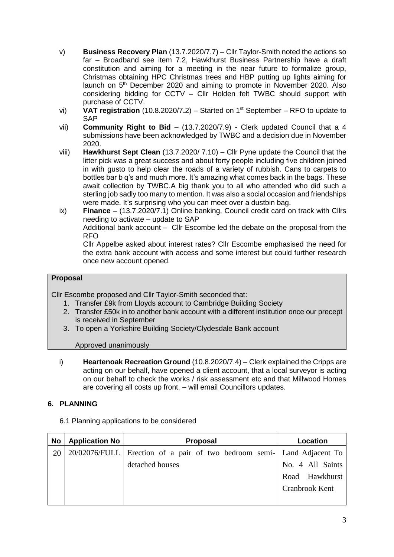- v) **Business Recovery Plan** (13.7.2020/7.7) Cllr Taylor-Smith noted the actions so far – Broadband see item 7.2, Hawkhurst Business Partnership have a draft constitution and aiming for a meeting in the near future to formalize group, Christmas obtaining HPC Christmas trees and HBP putting up lights aiming for launch on 5<sup>th</sup> December 2020 and aiming to promote in November 2020. Also considering bidding for CCTV – Cllr Holden felt TWBC should support with purchase of CCTV.
- vi) **VAT registration** (10.8.2020/7**.**2) Started on 1st September RFO to update to SAP
- vii) **Community Right to Bid** (13.7.2020/7.9) Clerk updated Council that a 4 submissions have been acknowledged by TWBC and a decision due in November 2020.
- viii) **Hawkhurst Sept Clean** (13.7.2020/ 7.10) Cllr Pyne update the Council that the litter pick was a great success and about forty people including five children joined in with gusto to help clear the roads of a variety of rubbish. Cans to carpets to bottles bar b q's and much more. It's amazing what comes back in the bags. These await collection by TWBC.A big thank you to all who attended who did such a sterling job sadly too many to mention. It was also a social occasion and friendships were made. It's surprising who you can meet over a dustbin bag.
- ix) **Finance** (13.7.2020/7.1) Online banking, Council credit card on track with Cllrs needing to activate – update to SAP

Additional bank account – Cllr Escombe led the debate on the proposal from the RFO

Cllr Appelbe asked about interest rates? Cllr Escombe emphasised the need for the extra bank account with access and some interest but could further research once new account opened.

#### **Proposal**

Cllr Escombe proposed and Cllr Taylor-Smith seconded that:

- 1. Transfer £9k from Lloyds account to Cambridge Building Society
- 2. Transfer £50k in to another bank account with a different institution once our precept is received in September
- 3. To open a Yorkshire Building Society/Clydesdale Bank account

#### Approved unanimously

i) **Heartenoak Recreation Ground** (10.8.2020/7.4) – Clerk explained the Cripps are acting on our behalf, have opened a client account, that a local surveyor is acting on our behalf to check the works / risk assessment etc and that Millwood Homes are covering all costs up front. – will email Councillors updates.

# **6. PLANNING**

6.1 Planning applications to be considered

| No | <b>Application No</b> | <b>Proposal</b>                                                        | Location         |
|----|-----------------------|------------------------------------------------------------------------|------------------|
| 20 |                       | 20/02076/FULL Erection of a pair of two bedroom semi- Land Adjacent To |                  |
|    |                       | detached houses                                                        | No. 4 All Saints |
|    |                       |                                                                        | Road Hawkhurst   |
|    |                       |                                                                        | Cranbrook Kent   |
|    |                       |                                                                        |                  |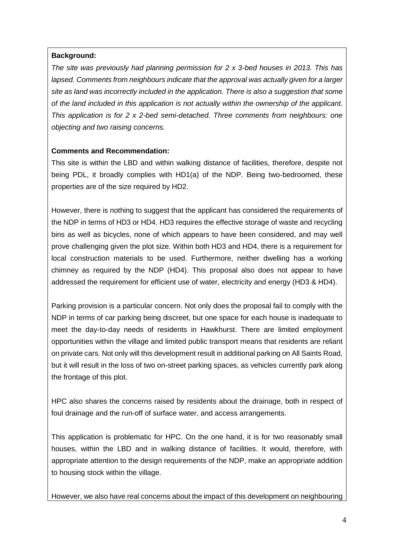# **Background:**

*The site was previously had planning permission for 2 x 3-bed houses in 2013. This has lapsed. Comments from neighbours indicate that the approval was actually given for a larger site as land was incorrectly included in the application. There is also a suggestion that some of the land included in this application is not actually within the ownership of the applicant. This application is for 2 x 2-bed semi-detached. Three comments from neighbours: one objecting and two raising concerns.*

#### **Comments and Recommendation:**

This site is within the LBD and within walking distance of facilities, therefore, despite not being PDL, it broadly complies with HD1(a) of the NDP. Being two-bedroomed, these properties are of the size required by HD2.

However, there is nothing to suggest that the applicant has considered the requirements of the NDP in terms of HD3 or HD4. HD3 requires the effective storage of waste and recycling bins as well as bicycles, none of which appears to have been considered, and may well prove challenging given the plot size. Within both HD3 and HD4, there is a requirement for local construction materials to be used. Furthermore, neither dwelling has a working chimney as required by the NDP (HD4). This proposal also does not appear to have addressed the requirement for efficient use of water, electricity and energy (HD3 & HD4).

Parking provision is a particular concern. Not only does the proposal fail to comply with the NDP in terms of car parking being discreet, but one space for each house is inadequate to meet the day-to-day needs of residents in Hawkhurst. There are limited employment opportunities within the village and limited public transport means that residents are reliant on private cars. Not only will this development result in additional parking on All Saints Road, but it will result in the loss of two on-street parking spaces, as vehicles currently park along the frontage of this plot.

HPC also shares the concerns raised by residents about the drainage, both in respect of foul drainage and the run-off of surface water, and access arrangements.

This application is problematic for HPC. On the one hand, it is for two reasonably small houses, within the LBD and in walking distance of facilities. It would, therefore, with appropriate attention to the design requirements of the NDP, make an appropriate addition to housing stock within the village.

However, we also have real concerns about the impact of this development on neighbouring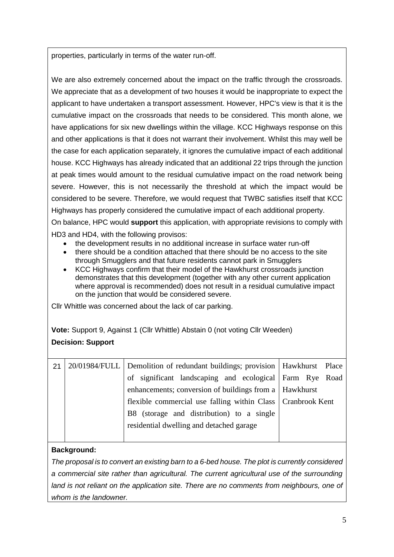properties, particularly in terms of the water run-off.

We are also extremely concerned about the impact on the traffic through the crossroads. We appreciate that as a development of two houses it would be inappropriate to expect the applicant to have undertaken a transport assessment. However, HPC's view is that it is the cumulative impact on the crossroads that needs to be considered. This month alone, we have applications for six new dwellings within the village. KCC Highways response on this and other applications is that it does not warrant their involvement. Whilst this may well be the case for each application separately, it ignores the cumulative impact of each additional house. KCC Highways has already indicated that an additional 22 trips through the junction at peak times would amount to the residual cumulative impact on the road network being severe. However, this is not necessarily the threshold at which the impact would be considered to be severe. Therefore, we would request that TWBC satisfies itself that KCC Highways has properly considered the cumulative impact of each additional property. On balance, HPC would **support** this application, with appropriate revisions to comply with

HD3 and HD4, with the following provisos:

- the development results in no additional increase in surface water run-off
- there should be a condition attached that there should be no access to the site through Smugglers and that future residents cannot park in Smugglers
- KCC Highways confirm that their model of the Hawkhurst crossroads junction demonstrates that this development (together with any other current application where approval is recommended) does not result in a residual cumulative impact on the junction that would be considered severe.

Cllr Whittle was concerned about the lack of car parking.

**Vote:** Support 9, Against 1 (Cllr Whittle) Abstain 0 (not voting Cllr Weeden) **Decision: Support**

| 21 | 20/01984/FULL Demolition of redundant buildings; provision   Hawkhurst Place |  |
|----|------------------------------------------------------------------------------|--|
|    | of significant landscaping and ecological Farm Rye Road                      |  |
|    | enhancements; conversion of buildings from a   Hawkhurst                     |  |
|    | flexible commercial use falling within Class   Cranbrook Kent                |  |
|    | B8 (storage and distribution) to a single                                    |  |
|    | residential dwelling and detached garage                                     |  |
|    |                                                                              |  |

# **Background:**

*The proposal is to convert an existing barn to a 6-bed house. The plot is currently considered a commercial site rather than agricultural. The current agricultural use of the surrounding land is not reliant on the application site. There are no comments from neighbours, one of whom is the landowner.*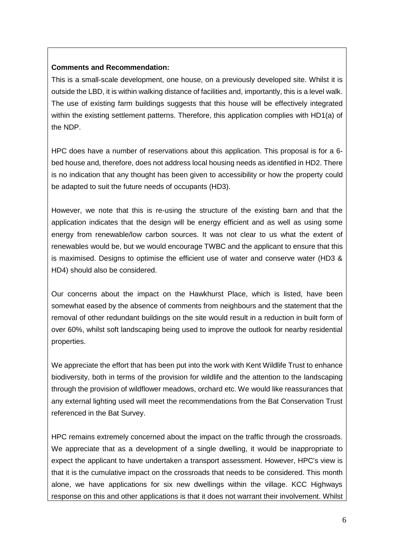#### **Comments and Recommendation:**

This is a small-scale development, one house, on a previously developed site. Whilst it is outside the LBD, it is within walking distance of facilities and, importantly, this is a level walk. The use of existing farm buildings suggests that this house will be effectively integrated within the existing settlement patterns. Therefore, this application complies with HD1(a) of the NDP.

HPC does have a number of reservations about this application. This proposal is for a 6 bed house and, therefore, does not address local housing needs as identified in HD2. There is no indication that any thought has been given to accessibility or how the property could be adapted to suit the future needs of occupants (HD3).

However, we note that this is re-using the structure of the existing barn and that the application indicates that the design will be energy efficient and as well as using some energy from renewable/low carbon sources. It was not clear to us what the extent of renewables would be, but we would encourage TWBC and the applicant to ensure that this is maximised. Designs to optimise the efficient use of water and conserve water (HD3 & HD4) should also be considered.

Our concerns about the impact on the Hawkhurst Place, which is listed, have been somewhat eased by the absence of comments from neighbours and the statement that the removal of other redundant buildings on the site would result in a reduction in built form of over 60%, whilst soft landscaping being used to improve the outlook for nearby residential properties.

We appreciate the effort that has been put into the work with Kent Wildlife Trust to enhance biodiversity, both in terms of the provision for wildlife and the attention to the landscaping through the provision of wildflower meadows, orchard etc. We would like reassurances that any external lighting used will meet the recommendations from the Bat Conservation Trust referenced in the Bat Survey.

HPC remains extremely concerned about the impact on the traffic through the crossroads. We appreciate that as a development of a single dwelling, it would be inappropriate to expect the applicant to have undertaken a transport assessment. However, HPC's view is that it is the cumulative impact on the crossroads that needs to be considered. This month alone, we have applications for six new dwellings within the village. KCC Highways response on this and other applications is that it does not warrant their involvement. Whilst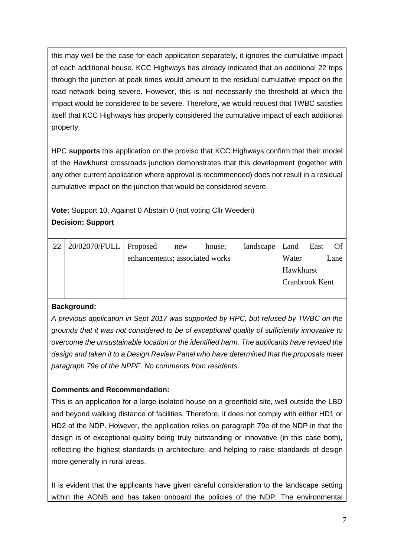this may well be the case for each application separately, it ignores the cumulative impact of each additional house. KCC Highways has already indicated that an additional 22 trips through the junction at peak times would amount to the residual cumulative impact on the road network being severe. However, this is not necessarily the threshold at which the impact would be considered to be severe. Therefore, we would request that TWBC satisfies itself that KCC Highways has properly considered the cumulative impact of each additional property.

HPC **supports** this application on the proviso that KCC Highways confirm that their model of the Hawkhurst crossroads junction demonstrates that this development (together with any other current application where approval is recommended) does not result in a residual cumulative impact on the junction that would be considered severe.

**Vote:** Support 10, Against 0 Abstain 0 (not voting Cllr Weeden) **Decision: Support**

| 22 | $20/02070/FULL$ Proposed |                                | new | house; | $land \text{scale}$   Land |                | East | Of   |
|----|--------------------------|--------------------------------|-----|--------|----------------------------|----------------|------|------|
|    |                          | enhancements; associated works |     |        |                            | Water          |      | Lane |
|    |                          |                                |     |        |                            | Hawkhurst      |      |      |
|    |                          |                                |     |        |                            | Cranbrook Kent |      |      |
|    |                          |                                |     |        |                            |                |      |      |

# **Background:**

*A previous application in Sept 2017 was supported by HPC, but refused by TWBC on the grounds that it was not considered to be of exceptional quality of sufficiently innovative to overcome the unsustainable location or the identified harm. The applicants have revised the design and taken it to a Design Review Panel who have determined that the proposals meet paragraph 79e of the NPPF. No comments from residents.*

# **Comments and Recommendation:**

This is an application for a large isolated house on a greenfield site, well outside the LBD and beyond walking distance of facilities. Therefore, it does not comply with either HD1 or HD2 of the NDP. However, the application relies on paragraph 79e of the NDP in that the design is of exceptional quality being truly outstanding or innovative (in this case both), reflecting the highest standards in architecture, and helping to raise standards of design more generally in rural areas.

It is evident that the applicants have given careful consideration to the landscape setting within the AONB and has taken onboard the policies of the NDP. The environmental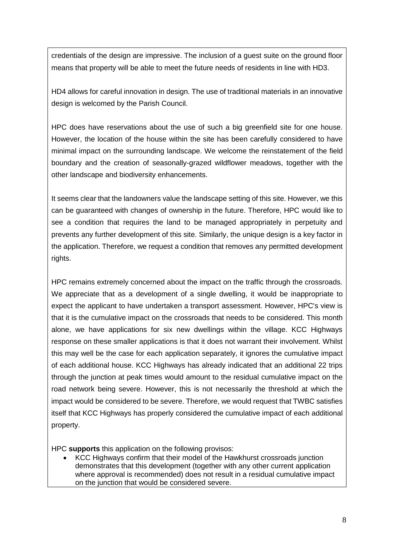credentials of the design are impressive. The inclusion of a guest suite on the ground floor means that property will be able to meet the future needs of residents in line with HD3.

HD4 allows for careful innovation in design. The use of traditional materials in an innovative design is welcomed by the Parish Council.

HPC does have reservations about the use of such a big greenfield site for one house. However, the location of the house within the site has been carefully considered to have minimal impact on the surrounding landscape. We welcome the reinstatement of the field boundary and the creation of seasonally-grazed wildflower meadows, together with the other landscape and biodiversity enhancements.

It seems clear that the landowners value the landscape setting of this site. However, we this can be guaranteed with changes of ownership in the future. Therefore, HPC would like to see a condition that requires the land to be managed appropriately in perpetuity and prevents any further development of this site. Similarly, the unique design is a key factor in the application. Therefore, we request a condition that removes any permitted development rights.

HPC remains extremely concerned about the impact on the traffic through the crossroads. We appreciate that as a development of a single dwelling, it would be inappropriate to expect the applicant to have undertaken a transport assessment. However, HPC's view is that it is the cumulative impact on the crossroads that needs to be considered. This month alone, we have applications for six new dwellings within the village. KCC Highways response on these smaller applications is that it does not warrant their involvement. Whilst this may well be the case for each application separately, it ignores the cumulative impact of each additional house. KCC Highways has already indicated that an additional 22 trips through the junction at peak times would amount to the residual cumulative impact on the road network being severe. However, this is not necessarily the threshold at which the impact would be considered to be severe. Therefore, we would request that TWBC satisfies itself that KCC Highways has properly considered the cumulative impact of each additional property.

HPC **supports** this application on the following provisos:

 KCC Highways confirm that their model of the Hawkhurst crossroads junction demonstrates that this development (together with any other current application where approval is recommended) does not result in a residual cumulative impact on the junction that would be considered severe.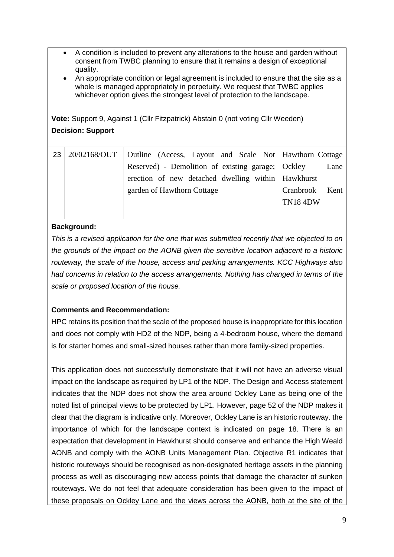- A condition is included to prevent any alterations to the house and garden without consent from TWBC planning to ensure that it remains a design of exceptional quality.
- An appropriate condition or legal agreement is included to ensure that the site as a whole is managed appropriately in perpetuity. We request that TWBC applies whichever option gives the strongest level of protection to the landscape.

**Vote:** Support 9, Against 1 (Cllr Fitzpatrick) Abstain 0 (not voting Cllr Weeden) **Decision: Support**

| 23 | 20/02168/OUT   Outline (Access, Layout and Scale Not   Hawthorn Cottage |                 |      |
|----|-------------------------------------------------------------------------|-----------------|------|
|    | Reserved) - Demolition of existing garage; Ockley                       |                 | Lane |
|    | erection of new detached dwelling within Hawkhurst                      |                 |      |
|    | garden of Hawthorn Cottage                                              | Cranbrook Kent  |      |
|    |                                                                         | <b>TN18 4DW</b> |      |
|    |                                                                         |                 |      |

# **Background:**

*This is a revised application for the one that was submitted recently that we objected to on the grounds of the impact on the AONB given the sensitive location adjacent to a historic routeway, the scale of the house, access and parking arrangements. KCC Highways also had concerns in relation to the access arrangements. Nothing has changed in terms of the scale or proposed location of the house.* 

# **Comments and Recommendation:**

HPC retains its position that the scale of the proposed house is inappropriate for this location and does not comply with HD2 of the NDP, being a 4-bedroom house, where the demand is for starter homes and small-sized houses rather than more family-sized properties.

This application does not successfully demonstrate that it will not have an adverse visual impact on the landscape as required by LP1 of the NDP. The Design and Access statement indicates that the NDP does not show the area around Ockley Lane as being one of the noted list of principal views to be protected by LP1. However, page 52 of the NDP makes it clear that the diagram is indicative only. Moreover, Ockley Lane is an historic routeway. the importance of which for the landscape context is indicated on page 18. There is an expectation that development in Hawkhurst should conserve and enhance the High Weald AONB and comply with the AONB Units Management Plan. Objective R1 indicates that historic routeways should be recognised as non-designated heritage assets in the planning process as well as discouraging new access points that damage the character of sunken routeways. We do not feel that adequate consideration has been given to the impact of these proposals on Ockley Lane and the views across the AONB, both at the site of the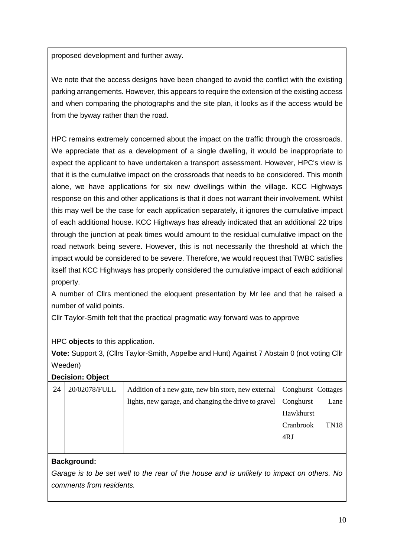proposed development and further away.

We note that the access designs have been changed to avoid the conflict with the existing parking arrangements. However, this appears to require the extension of the existing access and when comparing the photographs and the site plan, it looks as if the access would be from the byway rather than the road.

HPC remains extremely concerned about the impact on the traffic through the crossroads. We appreciate that as a development of a single dwelling, it would be inappropriate to expect the applicant to have undertaken a transport assessment. However, HPC's view is that it is the cumulative impact on the crossroads that needs to be considered. This month alone, we have applications for six new dwellings within the village. KCC Highways response on this and other applications is that it does not warrant their involvement. Whilst this may well be the case for each application separately, it ignores the cumulative impact of each additional house. KCC Highways has already indicated that an additional 22 trips through the junction at peak times would amount to the residual cumulative impact on the road network being severe. However, this is not necessarily the threshold at which the impact would be considered to be severe. Therefore, we would request that TWBC satisfies itself that KCC Highways has properly considered the cumulative impact of each additional property.

A number of Cllrs mentioned the eloquent presentation by Mr lee and that he raised a number of valid points.

Cllr Taylor-Smith felt that the practical pragmatic way forward was to approve

# HPC **objects** to this application.

**Vote:** Support 3, (Cllrs Taylor-Smith, Appelbe and Hunt) Against 7 Abstain 0 (not voting Cllr Weeden)

# **Decision: Object**

| 24 | 20/02078/FULL | Addition of a new gate, new bin store, new external   Conghurst Cottages |           |                  |
|----|---------------|--------------------------------------------------------------------------|-----------|------------------|
|    |               | lights, new garage, and changing the drive to gravel                     | Conghurst | Lane             |
|    |               |                                                                          | Hawkhurst |                  |
|    |               |                                                                          | Cranbrook | TN <sub>18</sub> |
|    |               |                                                                          | 4RJ       |                  |
|    |               |                                                                          |           |                  |

# **Background:**

*Garage is to be set well to the rear of the house and is unlikely to impact on others. No comments from residents.*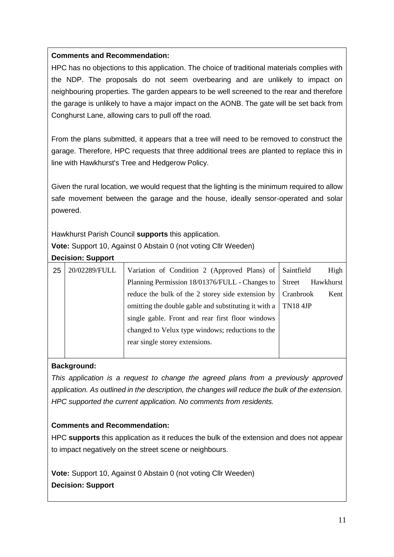# **Comments and Recommendation:**

HPC has no objections to this application. The choice of traditional materials complies with the NDP. The proposals do not seem overbearing and are unlikely to impact on neighbouring properties. The garden appears to be well screened to the rear and therefore the garage is unlikely to have a major impact on the AONB. The gate will be set back from Conghurst Lane, allowing cars to pull off the road.

From the plans submitted, it appears that a tree will need to be removed to construct the garage. Therefore, HPC requests that three additional trees are planted to replace this in line with Hawkhurst's Tree and Hedgerow Policy.

Given the rural location, we would request that the lighting is the minimum required to allow safe movement between the garage and the house, ideally sensor-operated and solar powered.

Hawkhurst Parish Council **supports** this application.

**Vote:** Support 10, Against 0 Abstain 0 (not voting Cllr Weeden)

# **Decision: Support**

| 25 | 20/02289/FULL | Variation of Condition 2 (Approved Plans) of Saintfield |                 | High      |
|----|---------------|---------------------------------------------------------|-----------------|-----------|
|    |               | Planning Permission 18/01376/FULL - Changes to          | Street          | Hawkhurst |
|    |               | reduce the bulk of the 2 storey side extension by       | Cranbrook       | Kent      |
|    |               | omitting the double gable and substituting it with a    | <b>TN18 4JP</b> |           |
|    |               | single gable. Front and rear first floor windows        |                 |           |
|    |               | changed to Velux type windows; reductions to the        |                 |           |
|    |               | rear single storey extensions.                          |                 |           |
|    |               |                                                         |                 |           |

# **Background:**

*This application is a request to change the agreed plans from a previously approved application. As outlined in the description, the changes will reduce the bulk of the extension. HPC supported the current application. No comments from residents.* 

# **Comments and Recommendation:**

HPC **supports** this application as it reduces the bulk of the extension and does not appear to impact negatively on the street scene or neighbours.

**Vote:** Support 10, Against 0 Abstain 0 (not voting Cllr Weeden) **Decision: Support**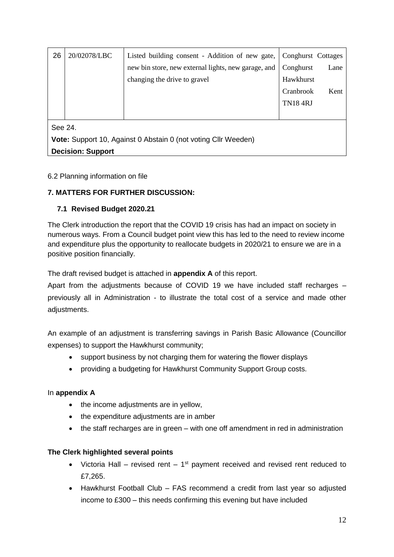| 26                                                             | 20/02078/LBC             | Listed building consent - Addition of new gate,     | Conghurst Cottages |      |  |  |  |
|----------------------------------------------------------------|--------------------------|-----------------------------------------------------|--------------------|------|--|--|--|
|                                                                |                          | new bin store, new external lights, new garage, and | Conghurst          | Lane |  |  |  |
|                                                                |                          | changing the drive to gravel                        | Hawkhurst          |      |  |  |  |
|                                                                |                          |                                                     | Cranbrook          | Kent |  |  |  |
|                                                                |                          |                                                     | <b>TN18 4RJ</b>    |      |  |  |  |
|                                                                |                          |                                                     |                    |      |  |  |  |
| See 24.                                                        |                          |                                                     |                    |      |  |  |  |
| Vote: Support 10, Against 0 Abstain 0 (not voting Cllr Weeden) |                          |                                                     |                    |      |  |  |  |
|                                                                | <b>Decision: Support</b> |                                                     |                    |      |  |  |  |

# 6.2 Planning information on file

# **7. MATTERS FOR FURTHER DISCUSSION:**

#### **7.1 Revised Budget 2020.21**

The Clerk introduction the report that the COVID 19 crisis has had an impact on society in numerous ways. From a Council budget point view this has led to the need to review income and expenditure plus the opportunity to reallocate budgets in 2020/21 to ensure we are in a positive position financially.

The draft revised budget is attached in **appendix A** of this report.

Apart from the adjustments because of COVID 19 we have included staff recharges – previously all in Administration - to illustrate the total cost of a service and made other adjustments.

An example of an adjustment is transferring savings in Parish Basic Allowance (Councillor expenses) to support the Hawkhurst community;

- support business by not charging them for watering the flower displays
- providing a budgeting for Hawkhurst Community Support Group costs.

# In **appendix A**

- the income adjustments are in yellow,
- the expenditure adjustments are in amber
- the staff recharges are in green with one off amendment in red in administration

#### **The Clerk highlighted several points**

- Victoria Hall revised rent  $-1<sup>st</sup>$  payment received and revised rent reduced to £7,265.
- Hawkhurst Football Club FAS recommend a credit from last year so adjusted income to £300 – this needs confirming this evening but have included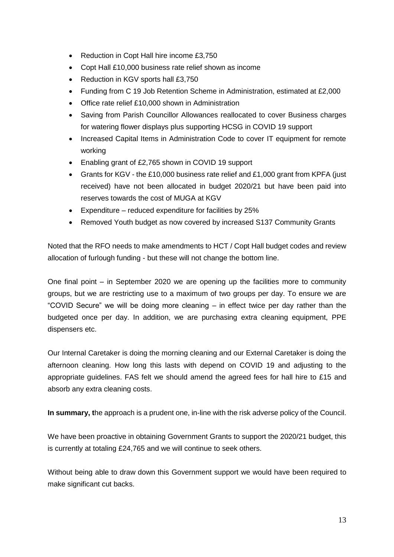- Reduction in Copt Hall hire income £3,750
- Copt Hall £10,000 business rate relief shown as income
- Reduction in KGV sports hall £3,750
- Funding from C 19 Job Retention Scheme in Administration, estimated at £2,000
- Office rate relief £10,000 shown in Administration
- Saving from Parish Councillor Allowances reallocated to cover Business charges for watering flower displays plus supporting HCSG in COVID 19 support
- Increased Capital Items in Administration Code to cover IT equipment for remote working
- Enabling grant of £2,765 shown in COVID 19 support
- Grants for KGV the £10,000 business rate relief and £1,000 grant from KPFA (just received) have not been allocated in budget 2020/21 but have been paid into reserves towards the cost of MUGA at KGV
- Expenditure reduced expenditure for facilities by 25%
- Removed Youth budget as now covered by increased S137 Community Grants

Noted that the RFO needs to make amendments to HCT / Copt Hall budget codes and review allocation of furlough funding - but these will not change the bottom line.

One final point – in September 2020 we are opening up the facilities more to community groups, but we are restricting use to a maximum of two groups per day. To ensure we are "COVID Secure" we will be doing more cleaning – in effect twice per day rather than the budgeted once per day. In addition, we are purchasing extra cleaning equipment, PPE dispensers etc.

Our Internal Caretaker is doing the morning cleaning and our External Caretaker is doing the afternoon cleaning. How long this lasts with depend on COVID 19 and adjusting to the appropriate guidelines. FAS felt we should amend the agreed fees for hall hire to £15 and absorb any extra cleaning costs.

**In summary, t**he approach is a prudent one, in-line with the risk adverse policy of the Council.

We have been proactive in obtaining Government Grants to support the 2020/21 budget, this is currently at totaling £24,765 and we will continue to seek others.

Without being able to draw down this Government support we would have been required to make significant cut backs.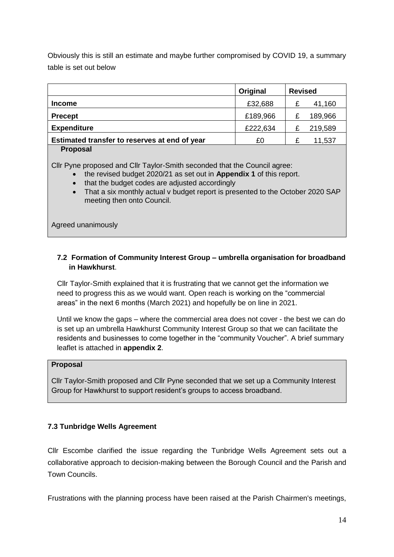Obviously this is still an estimate and maybe further compromised by COVID 19, a summary table is set out below

|                                               | Original | <b>Revised</b> |  |
|-----------------------------------------------|----------|----------------|--|
| <b>Income</b>                                 | £32,688  | 41,160         |  |
| <b>Precept</b>                                | £189,966 | 189,966        |  |
| <b>Expenditure</b>                            | £222,634 | 219,589        |  |
| Estimated transfer to reserves at end of year | £0       | 11,537         |  |
|                                               |          |                |  |

#### **Proposal**

Cllr Pyne proposed and Cllr Taylor-Smith seconded that the Council agree:

- the revised budget 2020/21 as set out in **Appendix 1** of this report.
- that the budget codes are adjusted accordingly
- That a six monthly actual v budget report is presented to the October 2020 SAP meeting then onto Council.

Agreed unanimously

# **7.2 Formation of Community Interest Group – umbrella organisation for broadband in Hawkhurst**.

Cllr Taylor-Smith explained that it is frustrating that we cannot get the information we need to progress this as we would want. Open reach is working on the "commercial areas" in the next 6 months (March 2021) and hopefully be on line in 2021.

Until we know the gaps – where the commercial area does not cover - the best we can do is set up an umbrella Hawkhurst Community Interest Group so that we can facilitate the residents and businesses to come together in the "community Voucher". A brief summary leaflet is attached in **appendix 2**.

#### **Proposal**

Cllr Taylor-Smith proposed and Cllr Pyne seconded that we set up a Community Interest Group for Hawkhurst to support resident's groups to access broadband.

# **7.3 Tunbridge Wells Agreement**

Cllr Escombe clarified the issue regarding the Tunbridge Wells Agreement sets out a collaborative approach to decision-making between the Borough Council and the Parish and Town Councils.

Frustrations with the planning process have been raised at the Parish Chairmen's meetings,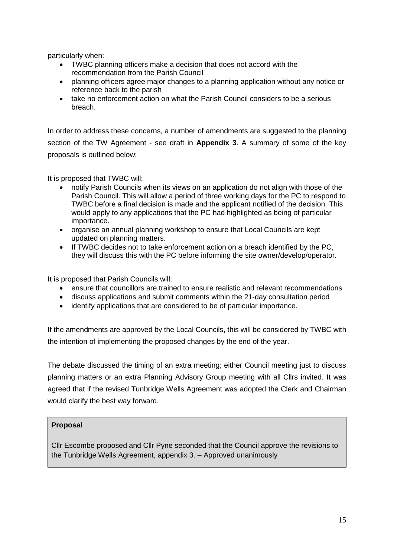particularly when:

- TWBC planning officers make a decision that does not accord with the recommendation from the Parish Council
- planning officers agree major changes to a planning application without any notice or reference back to the parish
- take no enforcement action on what the Parish Council considers to be a serious breach.

In order to address these concerns, a number of amendments are suggested to the planning section of the TW Agreement - see draft in **Appendix 3**. A summary of some of the key proposals is outlined below:

It is proposed that TWBC will:

- notify Parish Councils when its views on an application do not align with those of the Parish Council. This will allow a period of three working days for the PC to respond to TWBC before a final decision is made and the applicant notified of the decision. This would apply to any applications that the PC had highlighted as being of particular importance.
- organise an annual planning workshop to ensure that Local Councils are kept updated on planning matters.
- If TWBC decides not to take enforcement action on a breach identified by the PC, they will discuss this with the PC before informing the site owner/develop/operator.

It is proposed that Parish Councils will:

- ensure that councillors are trained to ensure realistic and relevant recommendations
- discuss applications and submit comments within the 21-day consultation period
- identify applications that are considered to be of particular importance.

If the amendments are approved by the Local Councils, this will be considered by TWBC with the intention of implementing the proposed changes by the end of the year.

The debate discussed the timing of an extra meeting; either Council meeting just to discuss planning matters or an extra Planning Advisory Group meeting with all Cllrs invited. It was agreed that if the revised Tunbridge Wells Agreement was adopted the Clerk and Chairman would clarify the best way forward.

# **Proposal**

Cllr Escombe proposed and Cllr Pyne seconded that the Council approve the revisions to the Tunbridge Wells Agreement, appendix 3. – Approved unanimously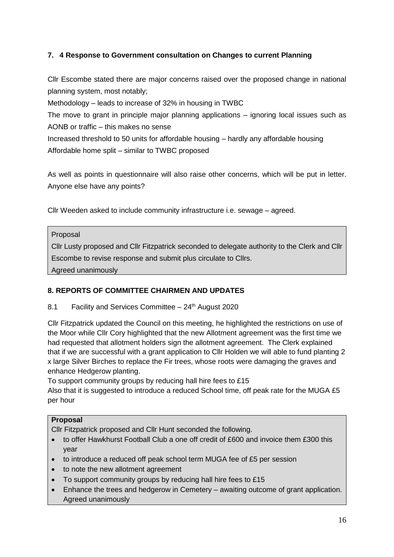# **7. 4 Response to Government consultation on Changes to current Planning**

Cllr Escombe stated there are major concerns raised over the proposed change in national planning system, most notably;

Methodology – leads to increase of 32% in housing in TWBC

The move to grant in principle major planning applications – ignoring local issues such as AONB or traffic – this makes no sense

Increased threshold to 50 units for affordable housing – hardly any affordable housing Affordable home split – similar to TWBC proposed

As well as points in questionnaire will also raise other concerns, which will be put in letter. Anyone else have any points?

Cllr Weeden asked to include community infrastructure i.e. sewage – agreed.

#### Proposal

Cllr Lusty proposed and Cllr Fitzpatrick seconded to delegate authority to the Clerk and Cllr Escombe to revise response and submit plus circulate to Cllrs.

Agreed unanimously

# **8. REPORTS OF COMMITTEE CHAIRMEN AND UPDATES**

# 8.1 Facility and Services Committee  $-24<sup>th</sup>$  August 2020

Cllr Fitzpatrick updated the Council on this meeting, he highlighted the restrictions on use of the Moor while Cllr Cory highlighted that the new Allotment agreement was the first time we had requested that allotment holders sign the allotment agreement. The Clerk explained that if we are successful with a grant application to Cllr Holden we will able to fund planting 2 x large Silver Birches to replace the Fir trees, whose roots were damaging the graves and enhance Hedgerow planting.

To support community groups by reducing hall hire fees to £15

Also that it is suggested to introduce a reduced School time, off peak rate for the MUGA £5 per hour

# **Proposal**

Cllr Fitzpatrick proposed and Cllr Hunt seconded the following.

- $\bullet$  to offer Hawkhurst Football Club a one off credit of £600 and invoice them £300 this year
- to introduce a reduced off peak school term MUGA fee of £5 per session
- to note the new allotment agreement
- To support community groups by reducing hall hire fees to £15
- Enhance the trees and hedgerow in Cemetery awaiting outcome of grant application. Agreed unanimously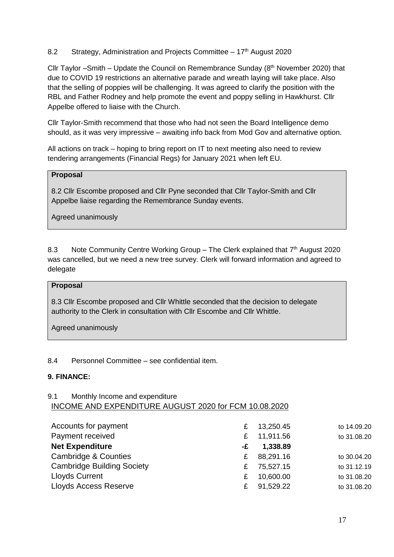# 8.2 Strategy, Administration and Projects Committee  $-17<sup>th</sup>$  August 2020

Cllr Taylor –Smith – Update the Council on Remembrance Sunday  $(8<sup>th</sup>$  November 2020) that due to COVID 19 restrictions an alternative parade and wreath laying will take place. Also that the selling of poppies will be challenging. It was agreed to clarify the position with the RBL and Father Rodney and help promote the event and poppy selling in Hawkhurst. Cllr Appelbe offered to liaise with the Church.

Cllr Taylor-Smith recommend that those who had not seen the Board Intelligence demo should, as it was very impressive – awaiting info back from Mod Gov and alternative option.

All actions on track – hoping to bring report on IT to next meeting also need to review tendering arrangements (Financial Regs) for January 2021 when left EU.

#### **Proposal**

8.2 Cllr Escombe proposed and Cllr Pyne seconded that Cllr Taylor-Smith and Cllr Appelbe liaise regarding the Remembrance Sunday events.

Agreed unanimously

8.3 Note Community Centre Working Group - The Clerk explained that 7<sup>th</sup> August 2020 was cancelled, but we need a new tree survey. Clerk will forward information and agreed to delegate

#### **Proposal**

8.3 Cllr Escombe proposed and Cllr Whittle seconded that the decision to delegate authority to the Clerk in consultation with Cllr Escombe and Cllr Whittle.

Agreed unanimously

#### 8.4 Personnel Committee – see confidential item.

#### **9. FINANCE:**

#### 9.1 Monthly Income and expenditure INCOME AND EXPENDITURE AUGUST 2020 for FCM 10.08.2020

| Accounts for payment              | £  | 13,250.45 | to 14.09.20 |
|-----------------------------------|----|-----------|-------------|
| Payment received                  | £  | 11,911.56 | to 31.08.20 |
| <b>Net Expenditure</b>            | -£ | 1,338.89  |             |
| Cambridge & Counties              | £  | 88,291.16 | to 30.04.20 |
| <b>Cambridge Building Society</b> | £  | 75,527.15 | to 31.12.19 |
| <b>Lloyds Current</b>             | £  | 10,600.00 | to 31.08.20 |
| <b>Lloyds Access Reserve</b>      | £  | 91,529.22 | to 31.08.20 |